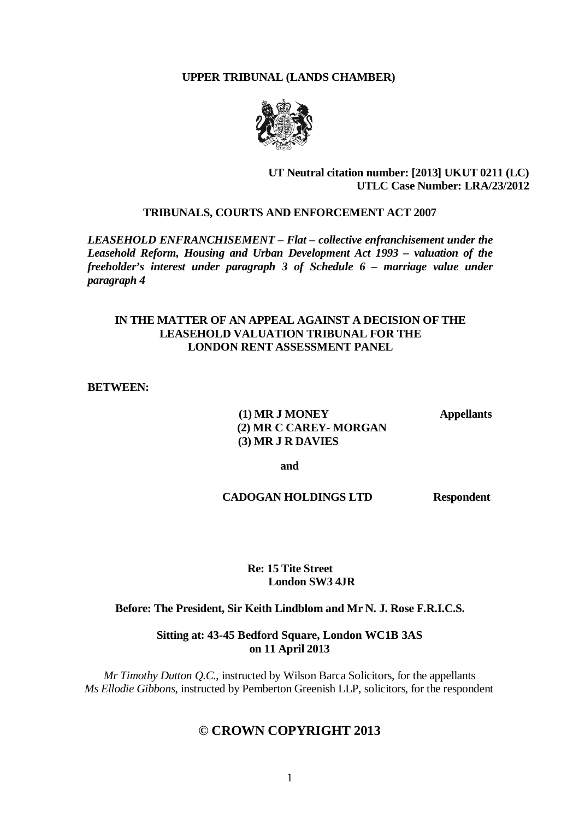# **UPPER TRIBUNAL (LANDS CHAMBER)**



# **UT Neutral citation number: [2013] UKUT 0211 (LC) UTLC Case Number: LRA/23/2012**

#### **TRIBUNALS, COURTS AND ENFORCEMENT ACT 2007**

*LEASEHOLD ENFRANCHISEMENT – Flat – collective enfranchisement under the Leasehold Reform, Housing and Urban Development Act 1993 – valuation of the freeholder's interest under paragraph 3 of Schedule 6 – marriage value under paragraph 4*

# **IN THE MATTER OF AN APPEAL AGAINST A DECISION OF THE LEASEHOLD VALUATION TRIBUNAL FOR THE LONDON RENT ASSESSMENT PANEL**

#### **BETWEEN:**

 **(1) MR J MONEY Appellants (2) MR C CAREY- MORGAN (3) MR J R DAVIES**

**and**

 **CADOGAN HOLDINGS LTD Respondent**

# **Re: 15 Tite Street London SW3 4JR**

#### **Before: The President, Sir Keith Lindblom and Mr N. J. Rose F.R.I.C.S.**

**Sitting at: 43-45 Bedford Square, London WC1B 3AS on 11 April 2013**

*Mr Timothy Dutton Q.C.*, instructed by Wilson Barca Solicitors, for the appellants *Ms Ellodie Gibbons*, instructed by Pemberton Greenish LLP, solicitors, for the respondent

# **© CROWN COPYRIGHT 2013**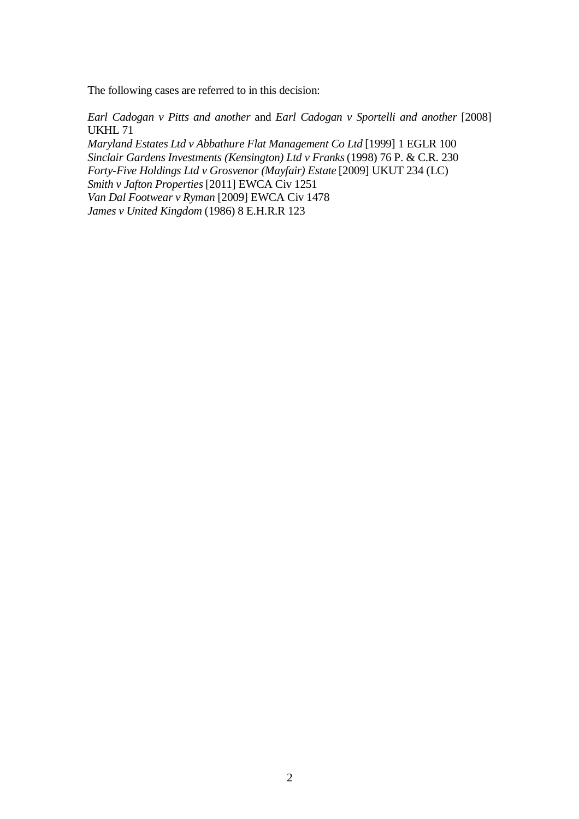The following cases are referred to in this decision:

*Earl Cadogan v Pitts and another* and *Earl Cadogan v Sportelli and another* [2008] UKHL 71

*Maryland Estates Ltd v Abbathure Flat Management Co Ltd* [1999] 1 EGLR 100 *Sinclair Gardens Investments (Kensington) Ltd v Franks*(1998) 76 P. & C.R. 230 *Forty-Five Holdings Ltd v Grosvenor (Mayfair) Estate* [2009] UKUT 234 (LC) *Smith v Jafton Properties* [2011] EWCA Civ 1251 *Van Dal Footwear v Ryman* [2009] EWCA Civ 1478 *James v United Kingdom* (1986) 8 E.H.R.R 123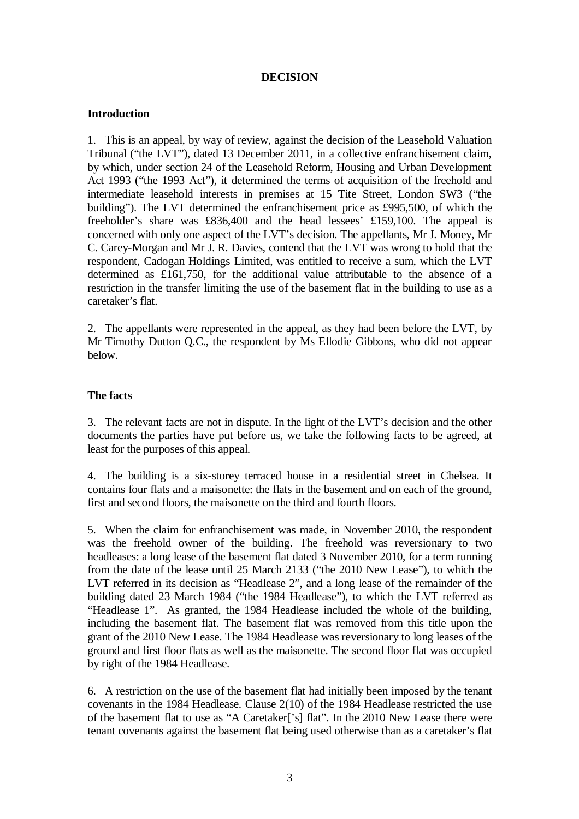# **DECISION**

# **Introduction**

1. This is an appeal, by way of review, against the decision of the Leasehold Valuation Tribunal ("the LVT"), dated 13 December 2011, in a collective enfranchisement claim, by which, under section 24 of the Leasehold Reform, Housing and Urban Development Act 1993 ("the 1993 Act"), it determined the terms of acquisition of the freehold and intermediate leasehold interests in premises at 15 Tite Street, London SW3 ("the building"). The LVT determined the enfranchisement price as £995,500, of which the freeholder's share was £836,400 and the head lessees' £159,100. The appeal is concerned with only one aspect of the LVT's decision. The appellants, Mr J. Money, Mr C. Carey-Morgan and Mr J. R. Davies, contend that the LVT was wrong to hold that the respondent, Cadogan Holdings Limited, was entitled to receive a sum, which the LVT determined as £161,750, for the additional value attributable to the absence of a restriction in the transfer limiting the use of the basement flat in the building to use as a caretaker's flat.

2. The appellants were represented in the appeal, as they had been before the LVT, by Mr Timothy Dutton Q.C., the respondent by Ms Ellodie Gibbons, who did not appear below.

# **The facts**

3. The relevant facts are not in dispute. In the light of the LVT's decision and the other documents the parties have put before us, we take the following facts to be agreed, at least for the purposes of this appeal.

4. The building is a six-storey terraced house in a residential street in Chelsea. It contains four flats and a maisonette: the flats in the basement and on each of the ground, first and second floors, the maisonette on the third and fourth floors.

5. When the claim for enfranchisement was made, in November 2010, the respondent was the freehold owner of the building. The freehold was reversionary to two headleases: a long lease of the basement flat dated 3 November 2010, for a term running from the date of the lease until 25 March 2133 ("the 2010 New Lease"), to which the LVT referred in its decision as "Headlease 2", and a long lease of the remainder of the building dated 23 March 1984 ("the 1984 Headlease"), to which the LVT referred as "Headlease 1". As granted, the 1984 Headlease included the whole of the building, including the basement flat. The basement flat was removed from this title upon the grant of the 2010 New Lease. The 1984 Headlease was reversionary to long leases of the ground and first floor flats as well as the maisonette. The second floor flat was occupied by right of the 1984 Headlease.

6. A restriction on the use of the basement flat had initially been imposed by the tenant covenants in the 1984 Headlease. Clause 2(10) of the 1984 Headlease restricted the use of the basement flat to use as "A Caretaker['s] flat". In the 2010 New Lease there were tenant covenants against the basement flat being used otherwise than as a caretaker's flat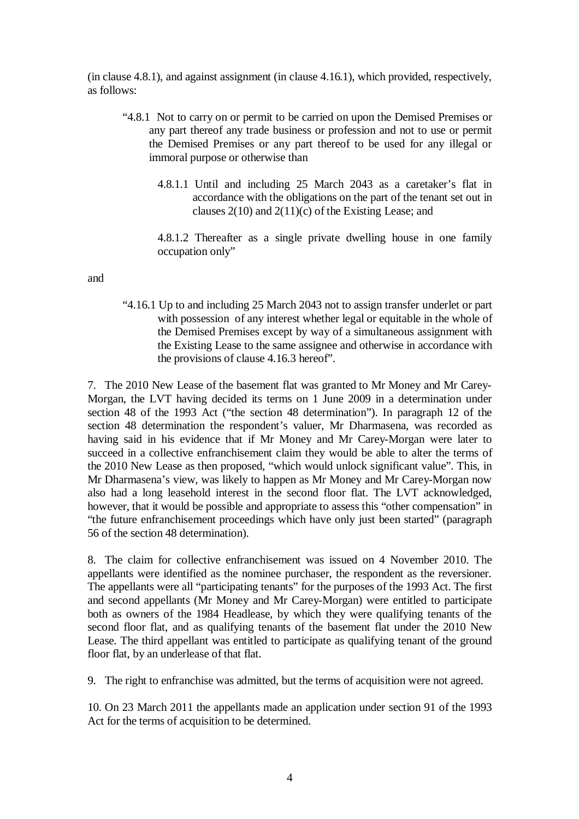(in clause 4.8.1), and against assignment (in clause 4.16.1), which provided, respectively, as follows:

- "4.8.1 Not to carry on or permit to be carried on upon the Demised Premises or any part thereof any trade business or profession and not to use or permit the Demised Premises or any part thereof to be used for any illegal or immoral purpose or otherwise than
	- 4.8.1.1 Until and including 25 March 2043 as a caretaker's flat in accordance with the obligations on the part of the tenant set out in clauses  $2(10)$  and  $2(11)(c)$  of the Existing Lease; and

4.8.1.2 Thereafter as a single private dwelling house in one family occupation only"

and

"4.16.1 Up to and including 25 March 2043 not to assign transfer underlet or part with possession of any interest whether legal or equitable in the whole of the Demised Premises except by way of a simultaneous assignment with the Existing Lease to the same assignee and otherwise in accordance with the provisions of clause 4.16.3 hereof".

7. The 2010 New Lease of the basement flat was granted to Mr Money and Mr Carey-Morgan, the LVT having decided its terms on 1 June 2009 in a determination under section 48 of the 1993 Act ("the section 48 determination"). In paragraph 12 of the section 48 determination the respondent's valuer, Mr Dharmasena, was recorded as having said in his evidence that if Mr Money and Mr Carey-Morgan were later to succeed in a collective enfranchisement claim they would be able to alter the terms of the 2010 New Lease as then proposed, "which would unlock significant value". This, in Mr Dharmasena's view, was likely to happen as Mr Money and Mr Carey-Morgan now also had a long leasehold interest in the second floor flat. The LVT acknowledged, however, that it would be possible and appropriate to assess this "other compensation" in "the future enfranchisement proceedings which have only just been started" (paragraph 56 of the section 48 determination).

8. The claim for collective enfranchisement was issued on 4 November 2010. The appellants were identified as the nominee purchaser, the respondent as the reversioner. The appellants were all "participating tenants" for the purposes of the 1993 Act. The first and second appellants (Mr Money and Mr Carey-Morgan) were entitled to participate both as owners of the 1984 Headlease, by which they were qualifying tenants of the second floor flat, and as qualifying tenants of the basement flat under the 2010 New Lease. The third appellant was entitled to participate as qualifying tenant of the ground floor flat, by an underlease of that flat.

9. The right to enfranchise was admitted, but the terms of acquisition were not agreed.

10. On 23 March 2011 the appellants made an application under section 91 of the 1993 Act for the terms of acquisition to be determined.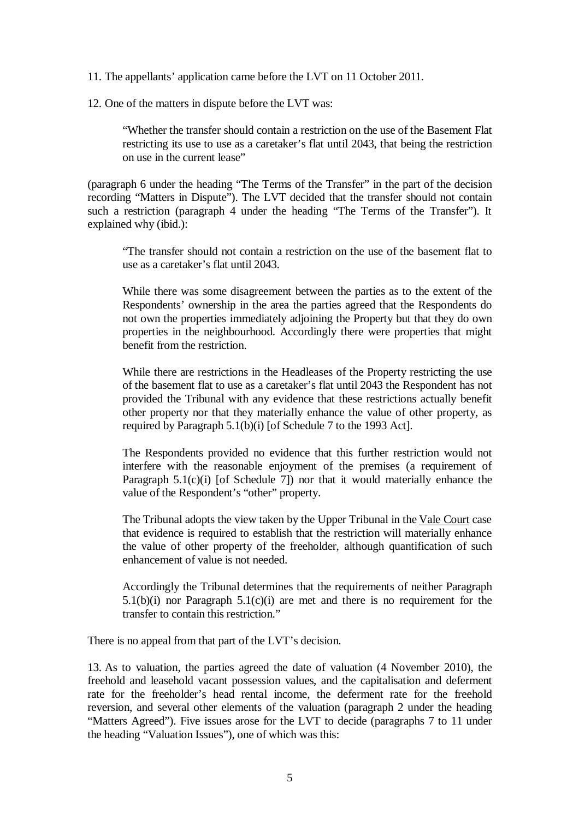11. The appellants' application came before the LVT on 11 October 2011.

12. One of the matters in dispute before the LVT was:

"Whether the transfer should contain a restriction on the use of the Basement Flat restricting its use to use as a caretaker's flat until 2043, that being the restriction on use in the current lease"

(paragraph 6 under the heading "The Terms of the Transfer" in the part of the decision recording "Matters in Dispute"). The LVT decided that the transfer should not contain such a restriction (paragraph 4 under the heading "The Terms of the Transfer"). It explained why (ibid.):

"The transfer should not contain a restriction on the use of the basement flat to use as a caretaker's flat until 2043.

While there was some disagreement between the parties as to the extent of the Respondents' ownership in the area the parties agreed that the Respondents do not own the properties immediately adjoining the Property but that they do own properties in the neighbourhood. Accordingly there were properties that might benefit from the restriction.

While there are restrictions in the Headleases of the Property restricting the use of the basement flat to use as a caretaker's flat until 2043 the Respondent has not provided the Tribunal with any evidence that these restrictions actually benefit other property nor that they materially enhance the value of other property, as required by Paragraph 5.1(b)(i) [of Schedule 7 to the 1993 Act].

The Respondents provided no evidence that this further restriction would not interfere with the reasonable enjoyment of the premises (a requirement of Paragraph  $5.1(c)(i)$  [of Schedule 7]) nor that it would materially enhance the value of the Respondent's "other" property.

The Tribunal adopts the view taken by the Upper Tribunal in the Vale Court case that evidence is required to establish that the restriction will materially enhance the value of other property of the freeholder, although quantification of such enhancement of value is not needed.

Accordingly the Tribunal determines that the requirements of neither Paragraph 5.1(b)(i) nor Paragraph  $5.1(c)(i)$  are met and there is no requirement for the transfer to contain this restriction."

There is no appeal from that part of the LVT's decision.

13. As to valuation, the parties agreed the date of valuation (4 November 2010), the freehold and leasehold vacant possession values, and the capitalisation and deferment rate for the freeholder's head rental income, the deferment rate for the freehold reversion, and several other elements of the valuation (paragraph 2 under the heading "Matters Agreed"). Five issues arose for the LVT to decide (paragraphs 7 to 11 under the heading "Valuation Issues"), one of which was this: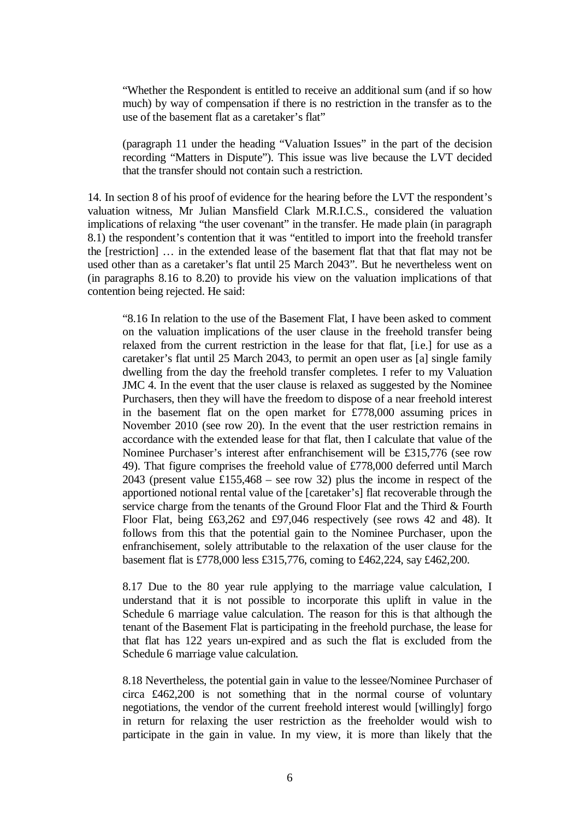"Whether the Respondent is entitled to receive an additional sum (and if so how much) by way of compensation if there is no restriction in the transfer as to the use of the basement flat as a caretaker's flat"

(paragraph 11 under the heading "Valuation Issues" in the part of the decision recording "Matters in Dispute"). This issue was live because the LVT decided that the transfer should not contain such a restriction.

14. In section 8 of his proof of evidence for the hearing before the LVT the respondent's valuation witness, Mr Julian Mansfield Clark M.R.I.C.S., considered the valuation implications of relaxing "the user covenant" in the transfer. He made plain (in paragraph 8.1) the respondent's contention that it was "entitled to import into the freehold transfer the [restriction] … in the extended lease of the basement flat that that flat may not be used other than as a caretaker's flat until 25 March 2043". But he nevertheless went on (in paragraphs 8.16 to 8.20) to provide his view on the valuation implications of that contention being rejected. He said:

"8.16 In relation to the use of the Basement Flat, I have been asked to comment on the valuation implications of the user clause in the freehold transfer being relaxed from the current restriction in the lease for that flat, [i.e.] for use as a caretaker's flat until 25 March 2043, to permit an open user as [a] single family dwelling from the day the freehold transfer completes. I refer to my Valuation JMC 4. In the event that the user clause is relaxed as suggested by the Nominee Purchasers, then they will have the freedom to dispose of a near freehold interest in the basement flat on the open market for £778,000 assuming prices in November 2010 (see row 20). In the event that the user restriction remains in accordance with the extended lease for that flat, then I calculate that value of the Nominee Purchaser's interest after enfranchisement will be £315,776 (see row 49). That figure comprises the freehold value of £778,000 deferred until March 2043 (present value £155,468 – see row 32) plus the income in respect of the apportioned notional rental value of the [caretaker's] flat recoverable through the service charge from the tenants of the Ground Floor Flat and the Third & Fourth Floor Flat, being £63,262 and £97,046 respectively (see rows 42 and 48). It follows from this that the potential gain to the Nominee Purchaser, upon the enfranchisement, solely attributable to the relaxation of the user clause for the basement flat is £778,000 less £315,776, coming to £462,224, say £462,200.

8.17 Due to the 80 year rule applying to the marriage value calculation, I understand that it is not possible to incorporate this uplift in value in the Schedule 6 marriage value calculation. The reason for this is that although the tenant of the Basement Flat is participating in the freehold purchase, the lease for that flat has 122 years un-expired and as such the flat is excluded from the Schedule 6 marriage value calculation.

8.18 Nevertheless, the potential gain in value to the lessee/Nominee Purchaser of circa £462,200 is not something that in the normal course of voluntary negotiations, the vendor of the current freehold interest would [willingly] forgo in return for relaxing the user restriction as the freeholder would wish to participate in the gain in value. In my view, it is more than likely that the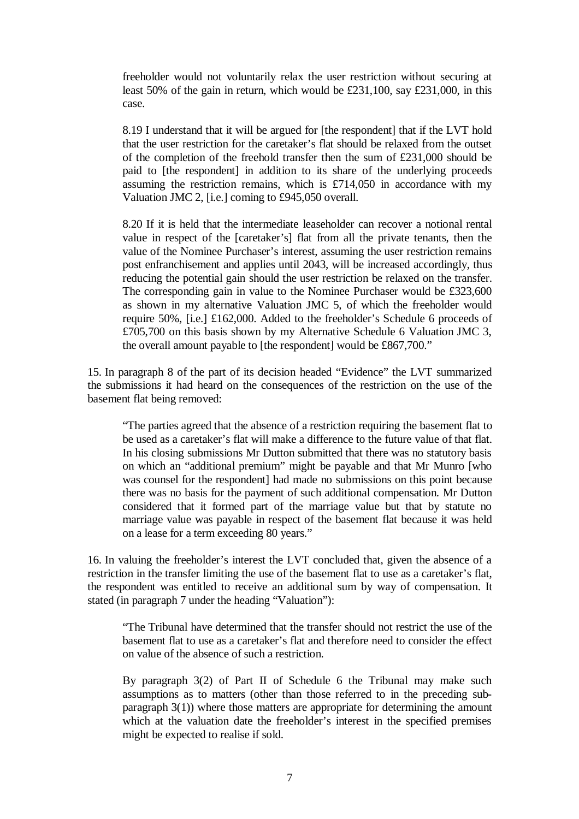freeholder would not voluntarily relax the user restriction without securing at least 50% of the gain in return, which would be £231,100, say £231,000, in this case.

8.19 I understand that it will be argued for [the respondent] that if the LVT hold that the user restriction for the caretaker's flat should be relaxed from the outset of the completion of the freehold transfer then the sum of £231,000 should be paid to [the respondent] in addition to its share of the underlying proceeds assuming the restriction remains, which is £714,050 in accordance with my Valuation JMC 2, [i.e.] coming to £945,050 overall.

8.20 If it is held that the intermediate leaseholder can recover a notional rental value in respect of the [caretaker's] flat from all the private tenants, then the value of the Nominee Purchaser's interest, assuming the user restriction remains post enfranchisement and applies until 2043, will be increased accordingly, thus reducing the potential gain should the user restriction be relaxed on the transfer. The corresponding gain in value to the Nominee Purchaser would be £323,600 as shown in my alternative Valuation JMC 5, of which the freeholder would require 50%, [i.e.] £162,000. Added to the freeholder's Schedule 6 proceeds of £705,700 on this basis shown by my Alternative Schedule 6 Valuation JMC 3, the overall amount payable to [the respondent] would be £867,700."

15. In paragraph 8 of the part of its decision headed "Evidence" the LVT summarized the submissions it had heard on the consequences of the restriction on the use of the basement flat being removed:

"The parties agreed that the absence of a restriction requiring the basement flat to be used as a caretaker's flat will make a difference to the future value of that flat. In his closing submissions Mr Dutton submitted that there was no statutory basis on which an "additional premium" might be payable and that Mr Munro [who was counsel for the respondent] had made no submissions on this point because there was no basis for the payment of such additional compensation. Mr Dutton considered that it formed part of the marriage value but that by statute no marriage value was payable in respect of the basement flat because it was held on a lease for a term exceeding 80 years."

16. In valuing the freeholder's interest the LVT concluded that, given the absence of a restriction in the transfer limiting the use of the basement flat to use as a caretaker's flat, the respondent was entitled to receive an additional sum by way of compensation. It stated (in paragraph 7 under the heading "Valuation"):

"The Tribunal have determined that the transfer should not restrict the use of the basement flat to use as a caretaker's flat and therefore need to consider the effect on value of the absence of such a restriction.

By paragraph 3(2) of Part II of Schedule 6 the Tribunal may make such assumptions as to matters (other than those referred to in the preceding subparagraph 3(1)) where those matters are appropriate for determining the amount which at the valuation date the freeholder's interest in the specified premises might be expected to realise if sold.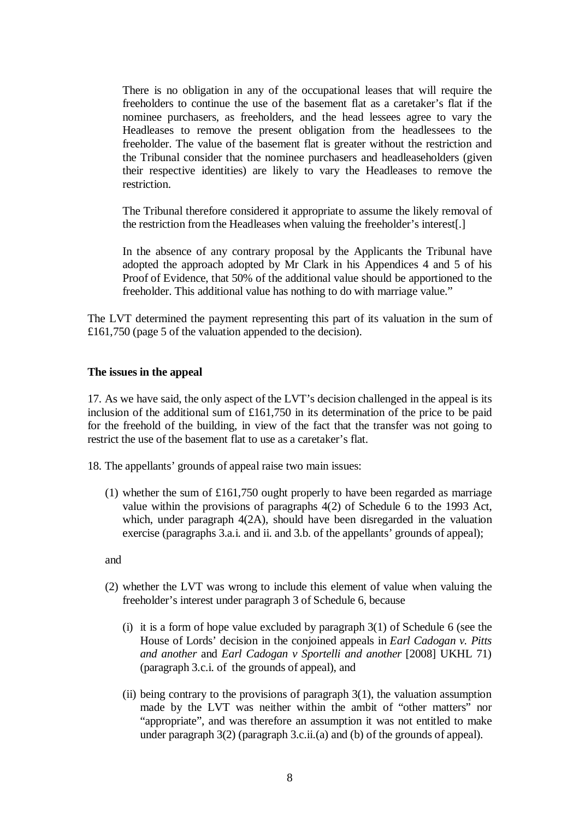There is no obligation in any of the occupational leases that will require the freeholders to continue the use of the basement flat as a caretaker's flat if the nominee purchasers, as freeholders, and the head lessees agree to vary the Headleases to remove the present obligation from the headlessees to the freeholder. The value of the basement flat is greater without the restriction and the Tribunal consider that the nominee purchasers and headleaseholders (given their respective identities) are likely to vary the Headleases to remove the restriction.

The Tribunal therefore considered it appropriate to assume the likely removal of the restriction from the Headleases when valuing the freeholder's interest[.]

In the absence of any contrary proposal by the Applicants the Tribunal have adopted the approach adopted by Mr Clark in his Appendices 4 and 5 of his Proof of Evidence, that 50% of the additional value should be apportioned to the freeholder. This additional value has nothing to do with marriage value."

The LVT determined the payment representing this part of its valuation in the sum of £161,750 (page 5 of the valuation appended to the decision).

#### **The issues in the appeal**

17. As we have said, the only aspect of the LVT's decision challenged in the appeal is its inclusion of the additional sum of £161,750 in its determination of the price to be paid for the freehold of the building, in view of the fact that the transfer was not going to restrict the use of the basement flat to use as a caretaker's flat.

18. The appellants' grounds of appeal raise two main issues:

(1) whether the sum of £161,750 ought properly to have been regarded as marriage value within the provisions of paragraphs 4(2) of Schedule 6 to the 1993 Act, which, under paragraph 4(2A), should have been disregarded in the valuation exercise (paragraphs 3.a.i. and ii. and 3.b. of the appellants' grounds of appeal);

and

- (2) whether the LVT was wrong to include this element of value when valuing the freeholder's interest under paragraph 3 of Schedule 6, because
	- (i) it is a form of hope value excluded by paragraph  $3(1)$  of Schedule 6 (see the House of Lords' decision in the conjoined appeals in *Earl Cadogan v. Pitts and another* and *Earl Cadogan v Sportelli and another* [2008] UKHL 71) (paragraph 3.c.i. of the grounds of appeal), and
	- (ii) being contrary to the provisions of paragraph  $3(1)$ , the valuation assumption made by the LVT was neither within the ambit of "other matters" nor "appropriate", and was therefore an assumption it was not entitled to make under paragraph 3(2) (paragraph 3.c.ii.(a) and (b) of the grounds of appeal).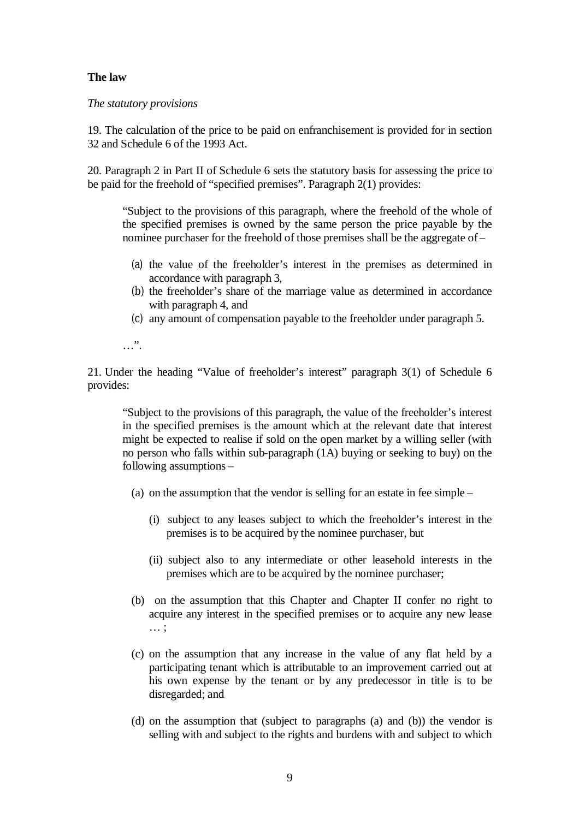# **The law**

*The statutory provisions*

19. The calculation of the price to be paid on enfranchisement is provided for in section 32 and Schedule 6 of the 1993 Act.

20. Paragraph 2 in Part II of Schedule 6 sets the statutory basis for assessing the price to be paid for the freehold of "specified premises". Paragraph 2(1) provides:

"Subject to the provisions of this paragraph, where the freehold of the whole of the specified premises is owned by the same person the price payable by the nominee purchaser for the freehold of those premises shall be the aggregate of –

- (a) the value of the freeholder's interest in the premises as determined in accordance with paragraph 3,
- (b) the freeholder's share of the marriage value as determined in accordance with paragraph 4, and
- (c) any amount of compensation payable to the freeholder under paragraph 5.

…".

21. Under the heading "Value of freeholder's interest" paragraph 3(1) of Schedule 6 provides:

"Subject to the provisions of this paragraph, the value of the freeholder's interest in the specified premises is the amount which at the relevant date that interest might be expected to realise if sold on the open market by a willing seller (with no person who falls within sub-paragraph (1A) buying or seeking to buy) on the following assumptions –

- (a) on the assumption that the vendor is selling for an estate in fee simple
	- (i) subject to any leases subject to which the freeholder's interest in the premises is to be acquired by the nominee purchaser, but
	- (ii) subject also to any intermediate or other leasehold interests in the premises which are to be acquired by the nominee purchaser;
- (b) on the assumption that this Chapter and Chapter II confer no right to acquire any interest in the specified premises or to acquire any new lease … ;
- (c) on the assumption that any increase in the value of any flat held by a participating tenant which is attributable to an improvement carried out at his own expense by the tenant or by any predecessor in title is to be disregarded; and
- (d) on the assumption that (subject to paragraphs (a) and (b)) the vendor is selling with and subject to the rights and burdens with and subject to which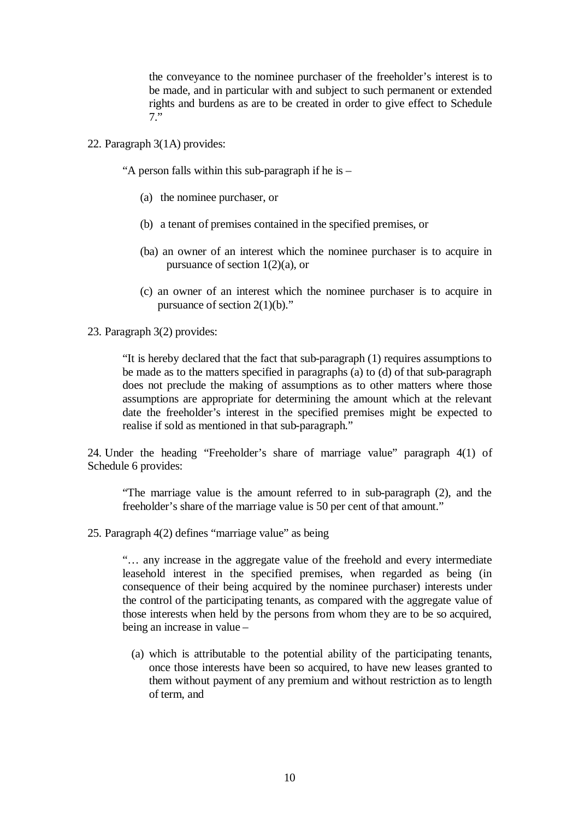the conveyance to the nominee purchaser of the freeholder's interest is to be made, and in particular with and subject to such permanent or extended rights and burdens as are to be created in order to give effect to Schedule 7."

22. Paragraph 3(1A) provides:

"A person falls within this sub-paragraph if he is –

- (a) the nominee purchaser, or
- (b) a tenant of premises contained in the specified premises, or
- (ba) an owner of an interest which the nominee purchaser is to acquire in pursuance of section 1(2)(a), or
- (c) an owner of an interest which the nominee purchaser is to acquire in pursuance of section 2(1)(b)."
- 23. Paragraph 3(2) provides:

"It is hereby declared that the fact that sub-paragraph (1) requires assumptions to be made as to the matters specified in paragraphs (a) to (d) of that sub-paragraph does not preclude the making of assumptions as to other matters where those assumptions are appropriate for determining the amount which at the relevant date the freeholder's interest in the specified premises might be expected to realise if sold as mentioned in that sub-paragraph."

24. Under the heading "Freeholder's share of marriage value" paragraph 4(1) of Schedule 6 provides:

"The marriage value is the amount referred to in sub-paragraph (2), and the freeholder's share of the marriage value is 50 per cent of that amount."

25. Paragraph 4(2) defines "marriage value" as being

"… any increase in the aggregate value of the freehold and every intermediate leasehold interest in the specified premises, when regarded as being (in consequence of their being acquired by the nominee purchaser) interests under the control of the participating tenants, as compared with the aggregate value of those interests when held by the persons from whom they are to be so acquired, being an increase in value –

(a) which is attributable to the potential ability of the participating tenants, once those interests have been so acquired, to have new leases granted to them without payment of any premium and without restriction as to length of term, and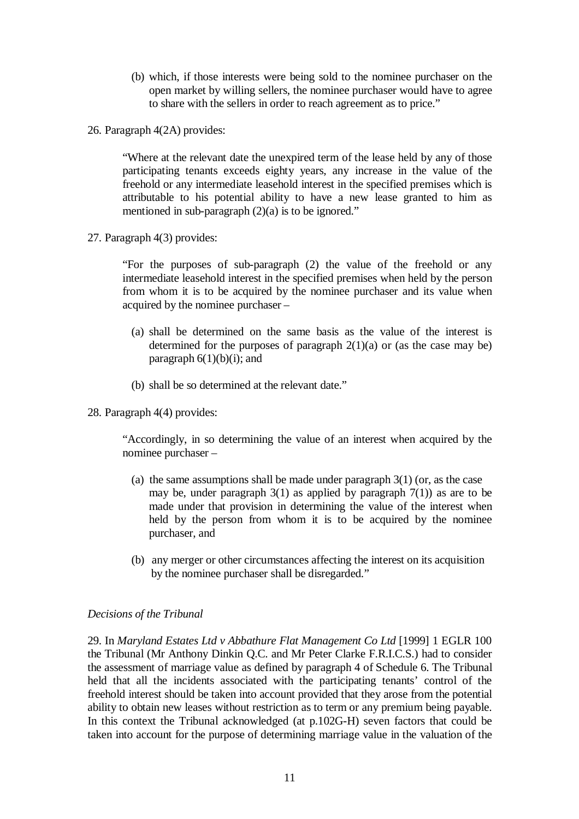- (b) which, if those interests were being sold to the nominee purchaser on the open market by willing sellers, the nominee purchaser would have to agree to share with the sellers in order to reach agreement as to price."
- 26. Paragraph 4(2A) provides:

"Where at the relevant date the unexpired term of the lease held by any of those participating tenants exceeds eighty years, any increase in the value of the freehold or any intermediate leasehold interest in the specified premises which is attributable to his potential ability to have a new lease granted to him as mentioned in sub-paragraph  $(2)(a)$  is to be ignored."

27. Paragraph 4(3) provides:

"For the purposes of sub-paragraph (2) the value of the freehold or any intermediate leasehold interest in the specified premises when held by the person from whom it is to be acquired by the nominee purchaser and its value when acquired by the nominee purchaser –

- (a) shall be determined on the same basis as the value of the interest is determined for the purposes of paragraph  $2(1)(a)$  or (as the case may be) paragraph  $6(1)(b)(i)$ ; and
- (b) shall be so determined at the relevant date."
- 28. Paragraph 4(4) provides:

"Accordingly, in so determining the value of an interest when acquired by the nominee purchaser –

- (a) the same assumptions shall be made under paragraph  $3(1)$  (or, as the case may be, under paragraph  $3(1)$  as applied by paragraph  $7(1)$ ) as are to be made under that provision in determining the value of the interest when held by the person from whom it is to be acquired by the nominee purchaser, and
- (b) any merger or other circumstances affecting the interest on its acquisition by the nominee purchaser shall be disregarded."

#### *Decisions of the Tribunal*

29. In *Maryland Estates Ltd v Abbathure Flat Management Co Ltd* [1999] 1 EGLR 100 the Tribunal (Mr Anthony Dinkin Q.C. and Mr Peter Clarke F.R.I.C.S.) had to consider the assessment of marriage value as defined by paragraph 4 of Schedule 6. The Tribunal held that all the incidents associated with the participating tenants' control of the freehold interest should be taken into account provided that they arose from the potential ability to obtain new leases without restriction as to term or any premium being payable. In this context the Tribunal acknowledged (at p.102G-H) seven factors that could be taken into account for the purpose of determining marriage value in the valuation of the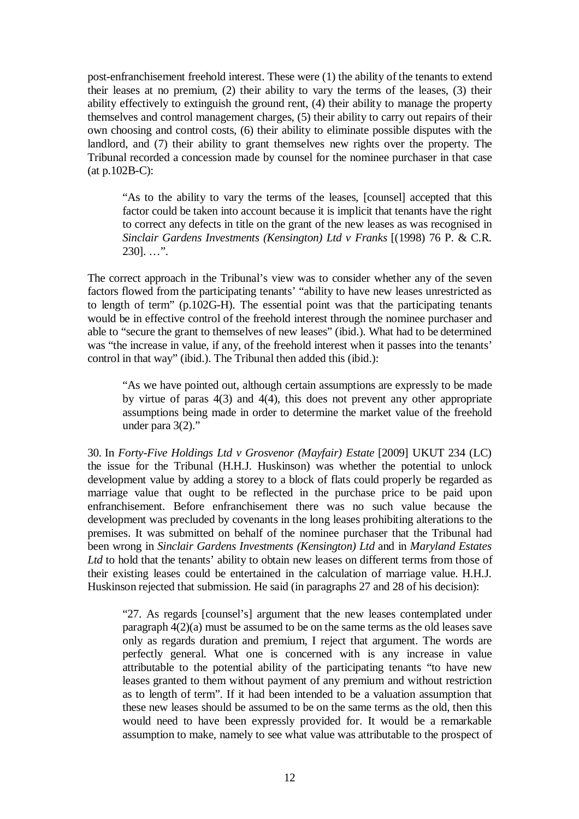post-enfranchisement freehold interest. These were (1) the ability of the tenants to extend their leases at no premium, (2) their ability to vary the terms of the leases, (3) their ability effectively to extinguish the ground rent, (4) their ability to manage the property themselves and control management charges, (5) their ability to carry out repairs of their own choosing and control costs, (6) their ability to eliminate possible disputes with the landlord, and (7) their ability to grant themselves new rights over the property. The Tribunal recorded a concession made by counsel for the nominee purchaser in that case (at p.102B-C):

"As to the ability to vary the terms of the leases, [counsel] accepted that this factor could be taken into account because it is implicit that tenants have the right to correct any defects in title on the grant of the new leases as was recognised in *Sinclair Gardens Investments (Kensington) Ltd v Franks* [(1998) 76 P. & C.R.  $2301...$ ".

The correct approach in the Tribunal's view was to consider whether any of the seven factors flowed from the participating tenants' "ability to have new leases unrestricted as to length of term"  $(p,102G-H)$ . The essential point was that the participating tenants would be in effective control of the freehold interest through the nominee purchaser and able to "secure the grant to themselves of new leases" (ibid.). What had to be determined was "the increase in value, if any, of the freehold interest when it passes into the tenants' control in that way" (ibid.). The Tribunal then added this (ibid.):

"As we have pointed out, although certain assumptions are expressly to be made by virtue of paras 4(3) and 4(4), this does not prevent any other appropriate assumptions being made in order to determine the market value of the freehold under para 3(2)."

30. In *Forty-Five Holdings Ltd v Grosvenor (Mayfair) Estate* [2009] UKUT 234 (LC) the issue for the Tribunal (H.H.J. Huskinson) was whether the potential to unlock development value by adding a storey to a block of flats could properly be regarded as marriage value that ought to be reflected in the purchase price to be paid upon enfranchisement. Before enfranchisement there was no such value because the development was precluded by covenants in the long leases prohibiting alterations to the premises. It was submitted on behalf of the nominee purchaser that the Tribunal had been wrong in *Sinclair Gardens Investments (Kensington) Ltd* and in *Maryland Estates Ltd* to hold that the tenants' ability to obtain new leases on different terms from those of their existing leases could be entertained in the calculation of marriage value. H.H.J. Huskinson rejected that submission. He said (in paragraphs 27 and 28 of his decision):

"27. As regards [counsel's] argument that the new leases contemplated under paragraph 4(2)(a) must be assumed to be on the same terms as the old leases save only as regards duration and premium, I reject that argument. The words are perfectly general. What one is concerned with is any increase in value attributable to the potential ability of the participating tenants "to have new leases granted to them without payment of any premium and without restriction as to length of term". If it had been intended to be a valuation assumption that these new leases should be assumed to be on the same terms as the old, then this would need to have been expressly provided for. It would be a remarkable assumption to make, namely to see what value was attributable to the prospect of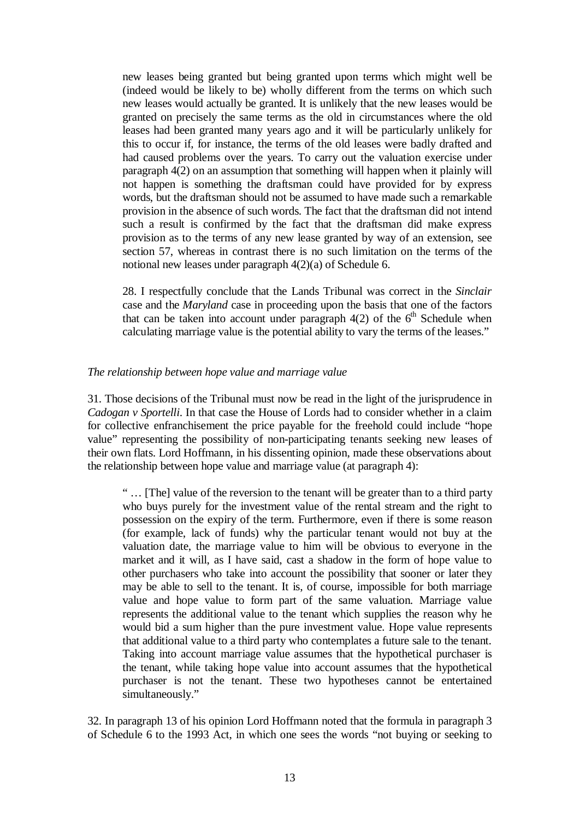new leases being granted but being granted upon terms which might well be (indeed would be likely to be) wholly different from the terms on which such new leases would actually be granted. It is unlikely that the new leases would be granted on precisely the same terms as the old in circumstances where the old leases had been granted many years ago and it will be particularly unlikely for this to occur if, for instance, the terms of the old leases were badly drafted and had caused problems over the years. To carry out the valuation exercise under paragraph 4(2) on an assumption that something will happen when it plainly will not happen is something the draftsman could have provided for by express words, but the draftsman should not be assumed to have made such a remarkable provision in the absence of such words. The fact that the draftsman did not intend such a result is confirmed by the fact that the draftsman did make express provision as to the terms of any new lease granted by way of an extension, see section 57, whereas in contrast there is no such limitation on the terms of the notional new leases under paragraph 4(2)(a) of Schedule 6.

28. I respectfully conclude that the Lands Tribunal was correct in the *Sinclair* case and the *Maryland* case in proceeding upon the basis that one of the factors that can be taken into account under paragraph  $4(2)$  of the 6<sup>th</sup> Schedule when calculating marriage value is the potential ability to vary the terms of the leases."

#### *The relationship between hope value and marriage value*

31. Those decisions of the Tribunal must now be read in the light of the jurisprudence in *Cadogan v Sportelli*. In that case the House of Lords had to consider whether in a claim for collective enfranchisement the price payable for the freehold could include "hope value" representing the possibility of non-participating tenants seeking new leases of their own flats. Lord Hoffmann, in his dissenting opinion, made these observations about the relationship between hope value and marriage value (at paragraph 4):

" … [The] value of the reversion to the tenant will be greater than to a third party who buys purely for the investment value of the rental stream and the right to possession on the expiry of the term. Furthermore, even if there is some reason (for example, lack of funds) why the particular tenant would not buy at the valuation date, the marriage value to him will be obvious to everyone in the market and it will, as I have said, cast a shadow in the form of hope value to other purchasers who take into account the possibility that sooner or later they may be able to sell to the tenant. It is, of course, impossible for both marriage value and hope value to form part of the same valuation. Marriage value represents the additional value to the tenant which supplies the reason why he would bid a sum higher than the pure investment value. Hope value represents that additional value to a third party who contemplates a future sale to the tenant. Taking into account marriage value assumes that the hypothetical purchaser is the tenant, while taking hope value into account assumes that the hypothetical purchaser is not the tenant. These two hypotheses cannot be entertained simultaneously."

32. In paragraph 13 of his opinion Lord Hoffmann noted that the formula in paragraph 3 of Schedule 6 to the 1993 Act, in which one sees the words "not buying or seeking to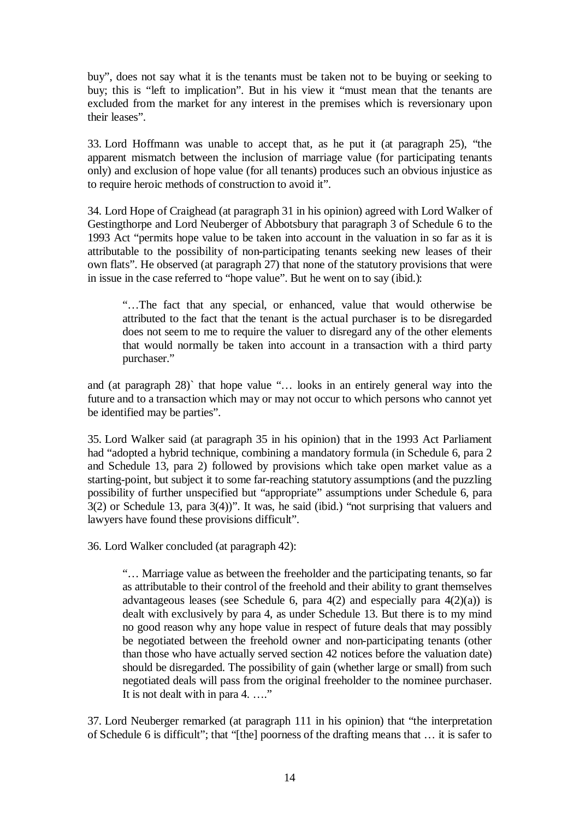buy", does not say what it is the tenants must be taken not to be buying or seeking to buy; this is "left to implication". But in his view it "must mean that the tenants are excluded from the market for any interest in the premises which is reversionary upon their leases".

33. Lord Hoffmann was unable to accept that, as he put it (at paragraph 25), "the apparent mismatch between the inclusion of marriage value (for participating tenants only) and exclusion of hope value (for all tenants) produces such an obvious injustice as to require heroic methods of construction to avoid it".

34. Lord Hope of Craighead (at paragraph 31 in his opinion) agreed with Lord Walker of Gestingthorpe and Lord Neuberger of Abbotsbury that paragraph 3 of Schedule 6 to the 1993 Act "permits hope value to be taken into account in the valuation in so far as it is attributable to the possibility of non-participating tenants seeking new leases of their own flats". He observed (at paragraph 27) that none of the statutory provisions that were in issue in the case referred to "hope value". But he went on to say (ibid.):

"…The fact that any special, or enhanced, value that would otherwise be attributed to the fact that the tenant is the actual purchaser is to be disregarded does not seem to me to require the valuer to disregard any of the other elements that would normally be taken into account in a transaction with a third party purchaser."

and (at paragraph 28)` that hope value "… looks in an entirely general way into the future and to a transaction which may or may not occur to which persons who cannot yet be identified may be parties".

35. Lord Walker said (at paragraph 35 in his opinion) that in the 1993 Act Parliament had "adopted a hybrid technique, combining a mandatory formula (in Schedule 6, para 2 and Schedule 13, para 2) followed by provisions which take open market value as a starting-point, but subject it to some far-reaching statutory assumptions (and the puzzling possibility of further unspecified but "appropriate" assumptions under Schedule 6, para 3(2) or Schedule 13, para 3(4))". It was, he said (ibid.) "not surprising that valuers and lawyers have found these provisions difficult".

36. Lord Walker concluded (at paragraph 42):

"… Marriage value as between the freeholder and the participating tenants, so far as attributable to their control of the freehold and their ability to grant themselves advantageous leases (see Schedule 6, para  $4(2)$  and especially para  $4(2)(a)$ ) is dealt with exclusively by para 4, as under Schedule 13. But there is to my mind no good reason why any hope value in respect of future deals that may possibly be negotiated between the freehold owner and non-participating tenants (other than those who have actually served section 42 notices before the valuation date) should be disregarded. The possibility of gain (whether large or small) from such negotiated deals will pass from the original freeholder to the nominee purchaser. It is not dealt with in para 4. …."

37. Lord Neuberger remarked (at paragraph 111 in his opinion) that "the interpretation of Schedule 6 is difficult"; that "[the] poorness of the drafting means that … it is safer to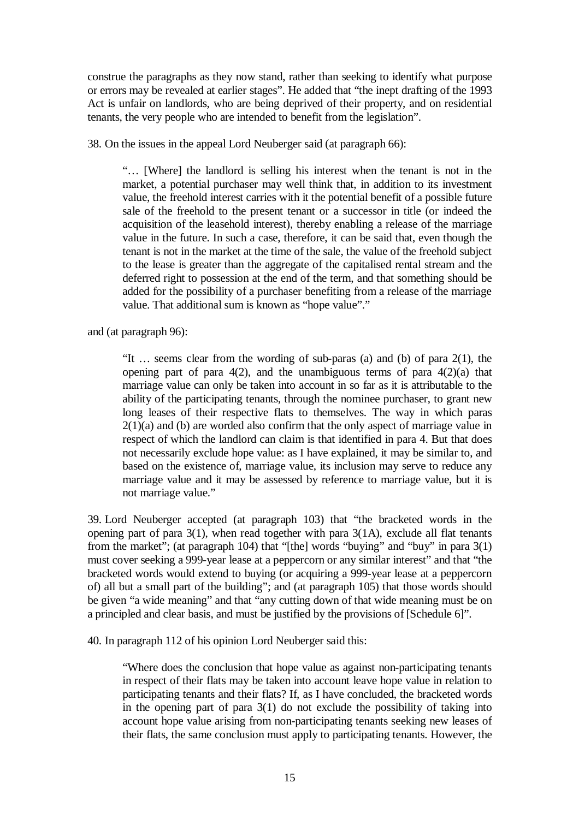construe the paragraphs as they now stand, rather than seeking to identify what purpose or errors may be revealed at earlier stages". He added that "the inept drafting of the 1993 Act is unfair on landlords, who are being deprived of their property, and on residential tenants, the very people who are intended to benefit from the legislation".

38. On the issues in the appeal Lord Neuberger said (at paragraph 66):

"… [Where] the landlord is selling his interest when the tenant is not in the market, a potential purchaser may well think that, in addition to its investment value, the freehold interest carries with it the potential benefit of a possible future sale of the freehold to the present tenant or a successor in title (or indeed the acquisition of the leasehold interest), thereby enabling a release of the marriage value in the future. In such a case, therefore, it can be said that, even though the tenant is not in the market at the time of the sale, the value of the freehold subject to the lease is greater than the aggregate of the capitalised rental stream and the deferred right to possession at the end of the term, and that something should be added for the possibility of a purchaser benefiting from a release of the marriage value. That additional sum is known as "hope value"."

and (at paragraph 96):

"It … seems clear from the wording of sub-paras (a) and (b) of para 2(1), the opening part of para  $4(2)$ , and the unambiguous terms of para  $4(2)(a)$  that marriage value can only be taken into account in so far as it is attributable to the ability of the participating tenants, through the nominee purchaser, to grant new long leases of their respective flats to themselves. The way in which paras 2(1)(a) and (b) are worded also confirm that the only aspect of marriage value in respect of which the landlord can claim is that identified in para 4. But that does not necessarily exclude hope value: as I have explained, it may be similar to, and based on the existence of, marriage value, its inclusion may serve to reduce any marriage value and it may be assessed by reference to marriage value, but it is not marriage value."

39. Lord Neuberger accepted (at paragraph 103) that "the bracketed words in the opening part of para 3(1), when read together with para 3(1A), exclude all flat tenants from the market"; (at paragraph 104) that "[the] words "buying" and "buy" in para 3(1) must cover seeking a 999-year lease at a peppercorn or any similar interest" and that "the bracketed words would extend to buying (or acquiring a 999-year lease at a peppercorn of) all but a small part of the building"; and (at paragraph 105) that those words should be given "a wide meaning" and that "any cutting down of that wide meaning must be on a principled and clear basis, and must be justified by the provisions of [Schedule 6]".

40. In paragraph 112 of his opinion Lord Neuberger said this:

"Where does the conclusion that hope value as against non-participating tenants in respect of their flats may be taken into account leave hope value in relation to participating tenants and their flats? If, as I have concluded, the bracketed words in the opening part of para  $3(1)$  do not exclude the possibility of taking into account hope value arising from non-participating tenants seeking new leases of their flats, the same conclusion must apply to participating tenants. However, the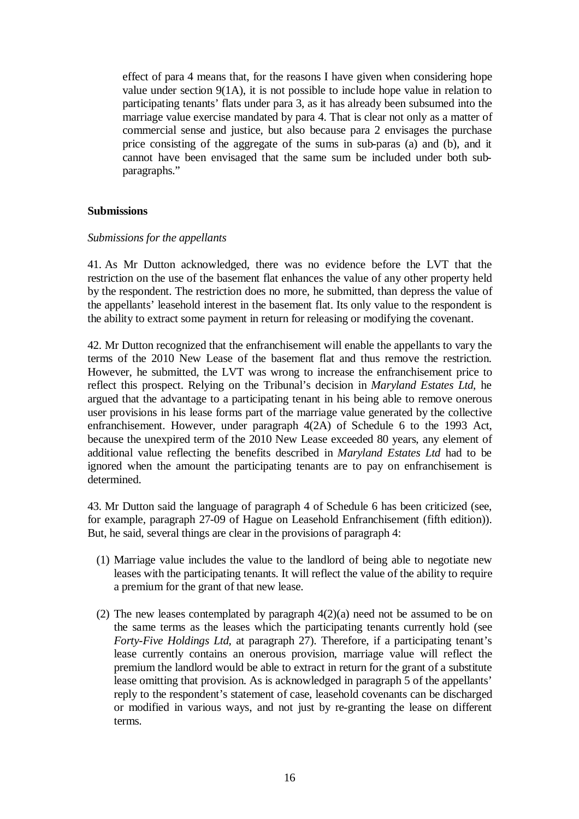effect of para 4 means that, for the reasons I have given when considering hope value under section 9(1A), it is not possible to include hope value in relation to participating tenants' flats under para 3, as it has already been subsumed into the marriage value exercise mandated by para 4. That is clear not only as a matter of commercial sense and justice, but also because para 2 envisages the purchase price consisting of the aggregate of the sums in sub-paras (a) and (b), and it cannot have been envisaged that the same sum be included under both subparagraphs."

# **Submissions**

#### *Submissions for the appellants*

41. As Mr Dutton acknowledged, there was no evidence before the LVT that the restriction on the use of the basement flat enhances the value of any other property held by the respondent. The restriction does no more, he submitted, than depress the value of the appellants' leasehold interest in the basement flat. Its only value to the respondent is the ability to extract some payment in return for releasing or modifying the covenant.

42. Mr Dutton recognized that the enfranchisement will enable the appellants to vary the terms of the 2010 New Lease of the basement flat and thus remove the restriction. However, he submitted, the LVT was wrong to increase the enfranchisement price to reflect this prospect. Relying on the Tribunal's decision in *Maryland Estates Ltd*, he argued that the advantage to a participating tenant in his being able to remove onerous user provisions in his lease forms part of the marriage value generated by the collective enfranchisement. However, under paragraph 4(2A) of Schedule 6 to the 1993 Act, because the unexpired term of the 2010 New Lease exceeded 80 years, any element of additional value reflecting the benefits described in *Maryland Estates Ltd* had to be ignored when the amount the participating tenants are to pay on enfranchisement is determined.

43. Mr Dutton said the language of paragraph 4 of Schedule 6 has been criticized (see, for example, paragraph 27-09 of Hague on Leasehold Enfranchisement (fifth edition)). But, he said, several things are clear in the provisions of paragraph 4:

- (1) Marriage value includes the value to the landlord of being able to negotiate new leases with the participating tenants. It will reflect the value of the ability to require a premium for the grant of that new lease.
- (2) The new leases contemplated by paragraph  $4(2)(a)$  need not be assumed to be on the same terms as the leases which the participating tenants currently hold (see *Forty-Five Holdings Ltd*, at paragraph 27). Therefore, if a participating tenant's lease currently contains an onerous provision, marriage value will reflect the premium the landlord would be able to extract in return for the grant of a substitute lease omitting that provision. As is acknowledged in paragraph 5 of the appellants' reply to the respondent's statement of case, leasehold covenants can be discharged or modified in various ways, and not just by re-granting the lease on different terms.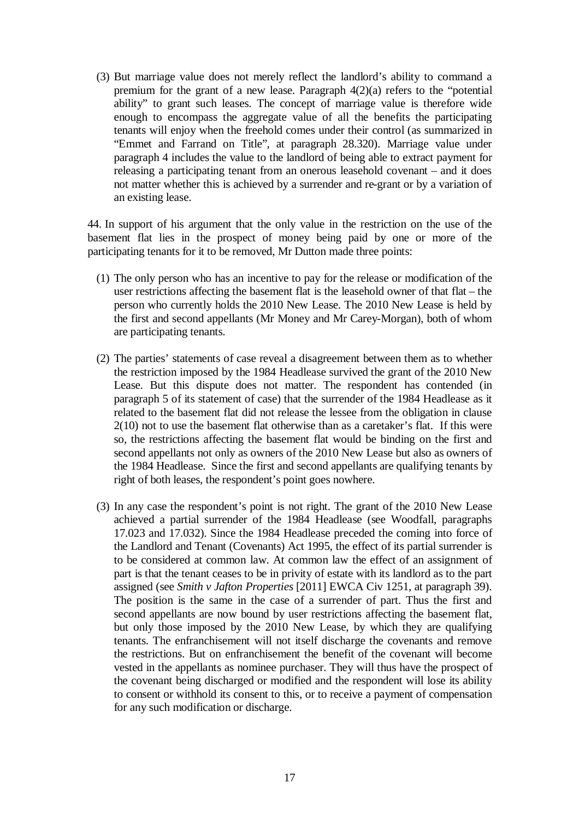(3) But marriage value does not merely reflect the landlord's ability to command a premium for the grant of a new lease. Paragraph 4(2)(a) refers to the "potential ability" to grant such leases. The concept of marriage value is therefore wide enough to encompass the aggregate value of all the benefits the participating tenants will enjoy when the freehold comes under their control (as summarized in "Emmet and Farrand on Title"*,* at paragraph 28.320). Marriage value under paragraph 4 includes the value to the landlord of being able to extract payment for releasing a participating tenant from an onerous leasehold covenant – and it does not matter whether this is achieved by a surrender and re-grant or by a variation of an existing lease.

44. In support of his argument that the only value in the restriction on the use of the basement flat lies in the prospect of money being paid by one or more of the participating tenants for it to be removed, Mr Dutton made three points:

- (1) The only person who has an incentive to pay for the release or modification of the user restrictions affecting the basement flat is the leasehold owner of that flat – the person who currently holds the 2010 New Lease. The 2010 New Lease is held by the first and second appellants (Mr Money and Mr Carey-Morgan), both of whom are participating tenants.
- (2) The parties' statements of case reveal a disagreement between them as to whether the restriction imposed by the 1984 Headlease survived the grant of the 2010 New Lease. But this dispute does not matter. The respondent has contended (in paragraph 5 of its statement of case) that the surrender of the 1984 Headlease as it related to the basement flat did not release the lessee from the obligation in clause 2(10) not to use the basement flat otherwise than as a caretaker's flat. If this were so, the restrictions affecting the basement flat would be binding on the first and second appellants not only as owners of the 2010 New Lease but also as owners of the 1984 Headlease. Since the first and second appellants are qualifying tenants by right of both leases, the respondent's point goes nowhere.
- (3) In any case the respondent's point is not right. The grant of the 2010 New Lease achieved a partial surrender of the 1984 Headlease (see Woodfall, paragraphs 17.023 and 17.032). Since the 1984 Headlease preceded the coming into force of the Landlord and Tenant (Covenants) Act 1995, the effect of its partial surrender is to be considered at common law. At common law the effect of an assignment of part is that the tenant ceases to be in privity of estate with its landlord as to the part assigned (see *Smith v Jafton Properties* [2011] EWCA Civ 1251, at paragraph 39). The position is the same in the case of a surrender of part. Thus the first and second appellants are now bound by user restrictions affecting the basement flat, but only those imposed by the 2010 New Lease, by which they are qualifying tenants. The enfranchisement will not itself discharge the covenants and remove the restrictions. But on enfranchisement the benefit of the covenant will become vested in the appellants as nominee purchaser. They will thus have the prospect of the covenant being discharged or modified and the respondent will lose its ability to consent or withhold its consent to this, or to receive a payment of compensation for any such modification or discharge.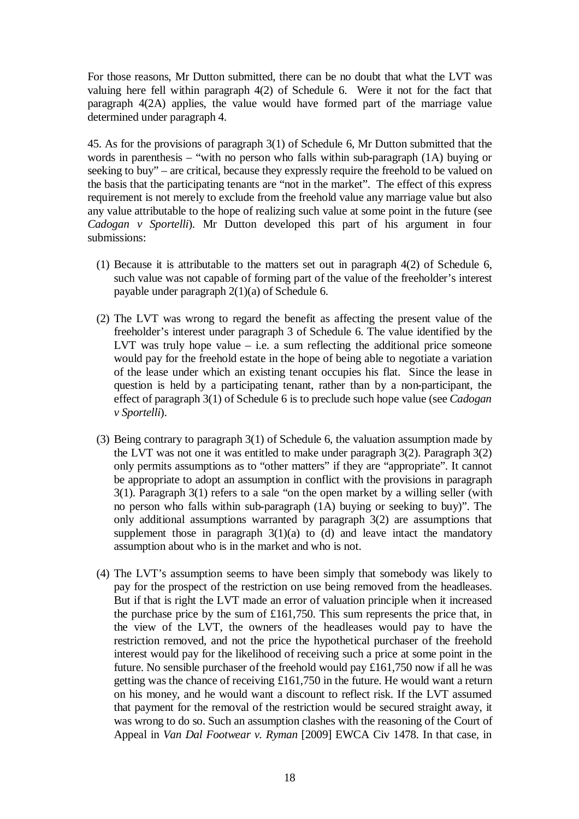For those reasons, Mr Dutton submitted, there can be no doubt that what the LVT was valuing here fell within paragraph 4(2) of Schedule 6. Were it not for the fact that paragraph 4(2A) applies, the value would have formed part of the marriage value determined under paragraph 4.

45. As for the provisions of paragraph 3(1) of Schedule 6, Mr Dutton submitted that the words in parenthesis – "with no person who falls within sub-paragraph (1A) buying or seeking to buy" – are critical, because they expressly require the freehold to be valued on the basis that the participating tenants are "not in the market". The effect of this express requirement is not merely to exclude from the freehold value any marriage value but also any value attributable to the hope of realizing such value at some point in the future (see *Cadogan v Sportelli*). Mr Dutton developed this part of his argument in four submissions:

- (1) Because it is attributable to the matters set out in paragraph 4(2) of Schedule 6, such value was not capable of forming part of the value of the freeholder's interest payable under paragraph 2(1)(a) of Schedule 6.
- (2) The LVT was wrong to regard the benefit as affecting the present value of the freeholder's interest under paragraph 3 of Schedule 6. The value identified by the LVT was truly hope value  $-$  i.e. a sum reflecting the additional price someone would pay for the freehold estate in the hope of being able to negotiate a variation of the lease under which an existing tenant occupies his flat. Since the lease in question is held by a participating tenant, rather than by a non-participant, the effect of paragraph 3(1) of Schedule 6 is to preclude such hope value (see *Cadogan v Sportelli*).
- (3) Being contrary to paragraph 3(1) of Schedule 6, the valuation assumption made by the LVT was not one it was entitled to make under paragraph 3(2). Paragraph 3(2) only permits assumptions as to "other matters" if they are "appropriate". It cannot be appropriate to adopt an assumption in conflict with the provisions in paragraph 3(1). Paragraph 3(1) refers to a sale "on the open market by a willing seller (with no person who falls within sub-paragraph (1A) buying or seeking to buy)". The only additional assumptions warranted by paragraph 3(2) are assumptions that supplement those in paragraph  $3(1)(a)$  to (d) and leave intact the mandatory assumption about who is in the market and who is not.
- (4) The LVT's assumption seems to have been simply that somebody was likely to pay for the prospect of the restriction on use being removed from the headleases. But if that is right the LVT made an error of valuation principle when it increased the purchase price by the sum of £161,750. This sum represents the price that, in the view of the LVT, the owners of the headleases would pay to have the restriction removed, and not the price the hypothetical purchaser of the freehold interest would pay for the likelihood of receiving such a price at some point in the future. No sensible purchaser of the freehold would pay £161,750 now if all he was getting was the chance of receiving £161,750 in the future. He would want a return on his money, and he would want a discount to reflect risk. If the LVT assumed that payment for the removal of the restriction would be secured straight away, it was wrong to do so. Such an assumption clashes with the reasoning of the Court of Appeal in *Van Dal Footwear v. Ryman* [2009] EWCA Civ 1478. In that case, in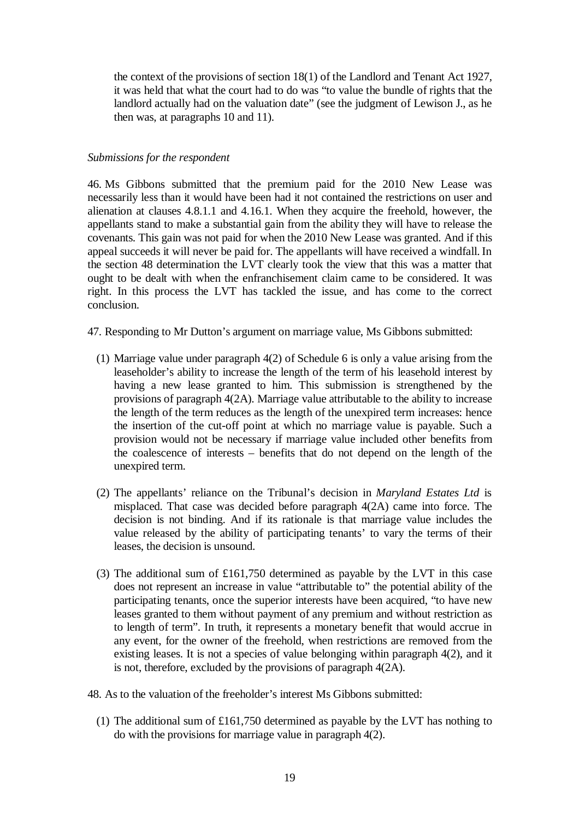the context of the provisions of section 18(1) of the Landlord and Tenant Act 1927, it was held that what the court had to do was "to value the bundle of rights that the landlord actually had on the valuation date" (see the judgment of Lewison J., as he then was, at paragraphs 10 and 11).

### *Submissions for the respondent*

46. Ms Gibbons submitted that the premium paid for the 2010 New Lease was necessarily less than it would have been had it not contained the restrictions on user and alienation at clauses 4.8.1.1 and 4.16.1. When they acquire the freehold, however, the appellants stand to make a substantial gain from the ability they will have to release the covenants. This gain was not paid for when the 2010 New Lease was granted. And if this appeal succeeds it will never be paid for. The appellants will have received a windfall. In the section 48 determination the LVT clearly took the view that this was a matter that ought to be dealt with when the enfranchisement claim came to be considered. It was right. In this process the LVT has tackled the issue, and has come to the correct conclusion.

47. Responding to Mr Dutton's argument on marriage value, Ms Gibbons submitted:

- (1) Marriage value under paragraph 4(2) of Schedule 6 is only a value arising from the leaseholder's ability to increase the length of the term of his leasehold interest by having a new lease granted to him. This submission is strengthened by the provisions of paragraph 4(2A). Marriage value attributable to the ability to increase the length of the term reduces as the length of the unexpired term increases: hence the insertion of the cut-off point at which no marriage value is payable. Such a provision would not be necessary if marriage value included other benefits from the coalescence of interests – benefits that do not depend on the length of the unexpired term.
- (2) The appellants' reliance on the Tribunal's decision in *Maryland Estates Ltd* is misplaced. That case was decided before paragraph 4(2A) came into force. The decision is not binding. And if its rationale is that marriage value includes the value released by the ability of participating tenants' to vary the terms of their leases, the decision is unsound.
- (3) The additional sum of £161,750 determined as payable by the LVT in this case does not represent an increase in value "attributable to" the potential ability of the participating tenants, once the superior interests have been acquired, "to have new leases granted to them without payment of any premium and without restriction as to length of term". In truth, it represents a monetary benefit that would accrue in any event, for the owner of the freehold, when restrictions are removed from the existing leases. It is not a species of value belonging within paragraph 4(2), and it is not, therefore, excluded by the provisions of paragraph 4(2A).
- 48. As to the valuation of the freeholder's interest Ms Gibbons submitted:
	- (1) The additional sum of £161,750 determined as payable by the LVT has nothing to do with the provisions for marriage value in paragraph 4(2).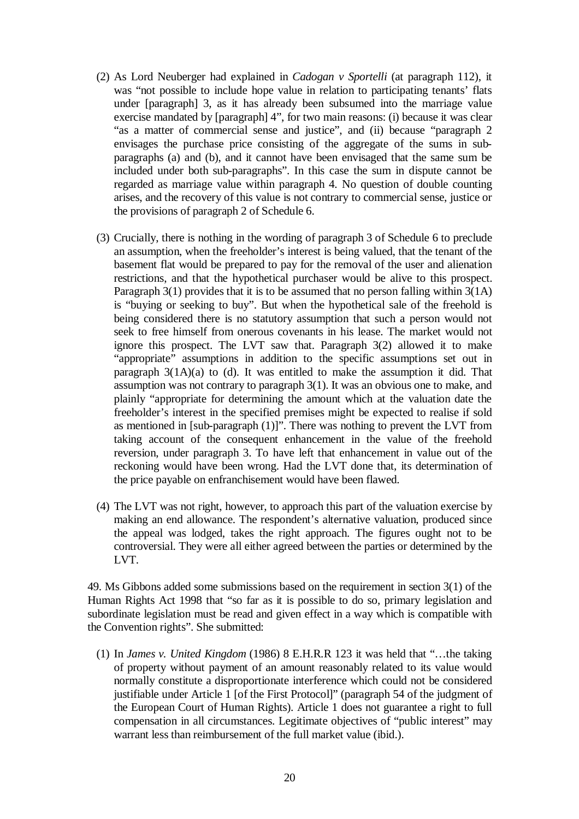- (2) As Lord Neuberger had explained in *Cadogan v Sportelli* (at paragraph 112), it was "not possible to include hope value in relation to participating tenants' flats under [paragraph] 3, as it has already been subsumed into the marriage value exercise mandated by [paragraph] 4", for two main reasons: (i) because it was clear "as a matter of commercial sense and justice", and (ii) because "paragraph 2 envisages the purchase price consisting of the aggregate of the sums in subparagraphs (a) and (b), and it cannot have been envisaged that the same sum be included under both sub-paragraphs". In this case the sum in dispute cannot be regarded as marriage value within paragraph 4. No question of double counting arises, and the recovery of this value is not contrary to commercial sense, justice or the provisions of paragraph 2 of Schedule 6.
- (3) Crucially, there is nothing in the wording of paragraph 3 of Schedule 6 to preclude an assumption, when the freeholder's interest is being valued, that the tenant of the basement flat would be prepared to pay for the removal of the user and alienation restrictions, and that the hypothetical purchaser would be alive to this prospect. Paragraph 3(1) provides that it is to be assumed that no person falling within 3(1A) is "buying or seeking to buy". But when the hypothetical sale of the freehold is being considered there is no statutory assumption that such a person would not seek to free himself from onerous covenants in his lease. The market would not ignore this prospect. The LVT saw that. Paragraph 3(2) allowed it to make "appropriate" assumptions in addition to the specific assumptions set out in paragraph  $3(1A)(a)$  to (d). It was entitled to make the assumption it did. That assumption was not contrary to paragraph 3(1). It was an obvious one to make, and plainly "appropriate for determining the amount which at the valuation date the freeholder's interest in the specified premises might be expected to realise if sold as mentioned in [sub-paragraph (1)]". There was nothing to prevent the LVT from taking account of the consequent enhancement in the value of the freehold reversion, under paragraph 3. To have left that enhancement in value out of the reckoning would have been wrong. Had the LVT done that, its determination of the price payable on enfranchisement would have been flawed.
- (4) The LVT was not right, however, to approach this part of the valuation exercise by making an end allowance. The respondent's alternative valuation, produced since the appeal was lodged, takes the right approach. The figures ought not to be controversial. They were all either agreed between the parties or determined by the LVT.

49. Ms Gibbons added some submissions based on the requirement in section 3(1) of the Human Rights Act 1998 that "so far as it is possible to do so, primary legislation and subordinate legislation must be read and given effect in a way which is compatible with the Convention rights". She submitted:

(1) In *James v. United Kingdom* (1986) 8 E.H.R.R 123 it was held that "…the taking of property without payment of an amount reasonably related to its value would normally constitute a disproportionate interference which could not be considered justifiable under Article 1 [of the First Protocol]" (paragraph 54 of the judgment of the European Court of Human Rights). Article 1 does not guarantee a right to full compensation in all circumstances. Legitimate objectives of "public interest" may warrant less than reimbursement of the full market value (ibid.).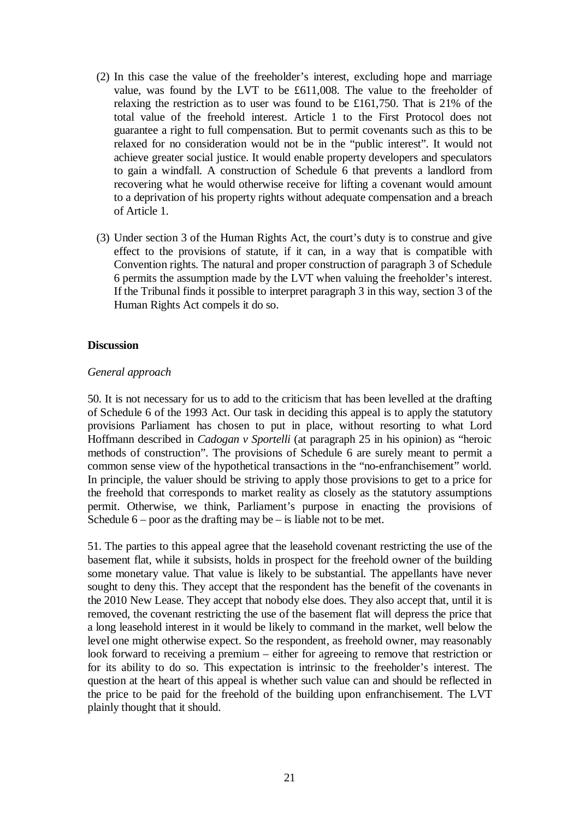- (2) In this case the value of the freeholder's interest, excluding hope and marriage value, was found by the LVT to be £611,008. The value to the freeholder of relaxing the restriction as to user was found to be £161,750. That is 21% of the total value of the freehold interest. Article 1 to the First Protocol does not guarantee a right to full compensation. But to permit covenants such as this to be relaxed for no consideration would not be in the "public interest". It would not achieve greater social justice. It would enable property developers and speculators to gain a windfall. A construction of Schedule 6 that prevents a landlord from recovering what he would otherwise receive for lifting a covenant would amount to a deprivation of his property rights without adequate compensation and a breach of Article 1.
- (3) Under section 3 of the Human Rights Act, the court's duty is to construe and give effect to the provisions of statute, if it can, in a way that is compatible with Convention rights. The natural and proper construction of paragraph 3 of Schedule 6 permits the assumption made by the LVT when valuing the freeholder's interest. If the Tribunal finds it possible to interpret paragraph 3 in this way, section 3 of the Human Rights Act compels it do so.

# **Discussion**

#### *General approach*

50. It is not necessary for us to add to the criticism that has been levelled at the drafting of Schedule 6 of the 1993 Act. Our task in deciding this appeal is to apply the statutory provisions Parliament has chosen to put in place, without resorting to what Lord Hoffmann described in *Cadogan v Sportelli* (at paragraph 25 in his opinion) as "heroic methods of construction". The provisions of Schedule 6 are surely meant to permit a common sense view of the hypothetical transactions in the "no-enfranchisement" world. In principle, the valuer should be striving to apply those provisions to get to a price for the freehold that corresponds to market reality as closely as the statutory assumptions permit. Otherwise, we think, Parliament's purpose in enacting the provisions of Schedule  $6$  – poor as the drafting may be – is liable not to be met.

51. The parties to this appeal agree that the leasehold covenant restricting the use of the basement flat, while it subsists, holds in prospect for the freehold owner of the building some monetary value. That value is likely to be substantial. The appellants have never sought to deny this. They accept that the respondent has the benefit of the covenants in the 2010 New Lease. They accept that nobody else does. They also accept that, until it is removed, the covenant restricting the use of the basement flat will depress the price that a long leasehold interest in it would be likely to command in the market, well below the level one might otherwise expect. So the respondent, as freehold owner, may reasonably look forward to receiving a premium – either for agreeing to remove that restriction or for its ability to do so. This expectation is intrinsic to the freeholder's interest. The question at the heart of this appeal is whether such value can and should be reflected in the price to be paid for the freehold of the building upon enfranchisement. The LVT plainly thought that it should.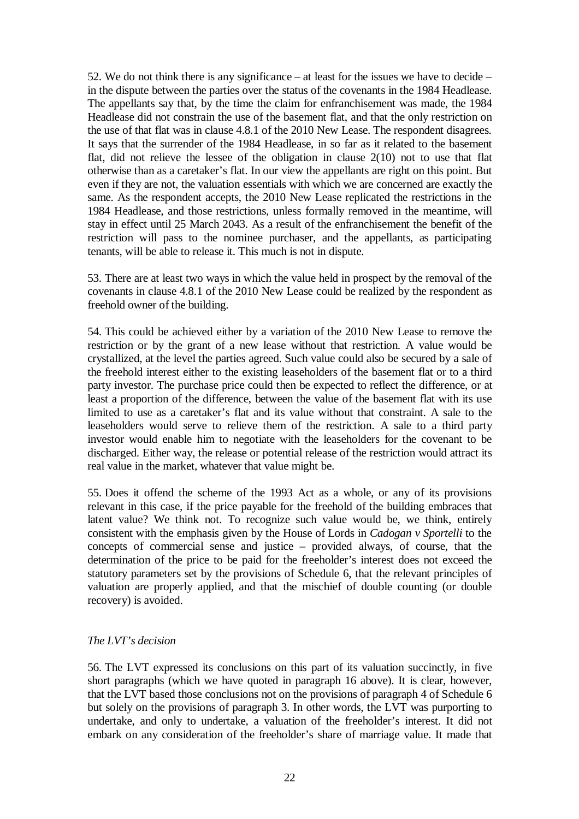52. We do not think there is any significance – at least for the issues we have to decide – in the dispute between the parties over the status of the covenants in the 1984 Headlease. The appellants say that, by the time the claim for enfranchisement was made, the 1984 Headlease did not constrain the use of the basement flat, and that the only restriction on the use of that flat was in clause 4.8.1 of the 2010 New Lease. The respondent disagrees. It says that the surrender of the 1984 Headlease, in so far as it related to the basement flat, did not relieve the lessee of the obligation in clause 2(10) not to use that flat otherwise than as a caretaker's flat. In our view the appellants are right on this point. But even if they are not, the valuation essentials with which we are concerned are exactly the same. As the respondent accepts, the 2010 New Lease replicated the restrictions in the 1984 Headlease, and those restrictions, unless formally removed in the meantime, will stay in effect until 25 March 2043. As a result of the enfranchisement the benefit of the restriction will pass to the nominee purchaser, and the appellants, as participating tenants, will be able to release it. This much is not in dispute.

53. There are at least two ways in which the value held in prospect by the removal of the covenants in clause 4.8.1 of the 2010 New Lease could be realized by the respondent as freehold owner of the building.

54. This could be achieved either by a variation of the 2010 New Lease to remove the restriction or by the grant of a new lease without that restriction. A value would be crystallized, at the level the parties agreed. Such value could also be secured by a sale of the freehold interest either to the existing leaseholders of the basement flat or to a third party investor. The purchase price could then be expected to reflect the difference, or at least a proportion of the difference, between the value of the basement flat with its use limited to use as a caretaker's flat and its value without that constraint. A sale to the leaseholders would serve to relieve them of the restriction. A sale to a third party investor would enable him to negotiate with the leaseholders for the covenant to be discharged. Either way, the release or potential release of the restriction would attract its real value in the market, whatever that value might be.

55. Does it offend the scheme of the 1993 Act as a whole, or any of its provisions relevant in this case, if the price payable for the freehold of the building embraces that latent value? We think not. To recognize such value would be, we think, entirely consistent with the emphasis given by the House of Lords in *Cadogan v Sportelli* to the concepts of commercial sense and justice – provided always, of course, that the determination of the price to be paid for the freeholder's interest does not exceed the statutory parameters set by the provisions of Schedule 6, that the relevant principles of valuation are properly applied, and that the mischief of double counting (or double recovery) is avoided.

# *The LVT's decision*

56. The LVT expressed its conclusions on this part of its valuation succinctly, in five short paragraphs (which we have quoted in paragraph 16 above). It is clear, however, that the LVT based those conclusions not on the provisions of paragraph 4 of Schedule 6 but solely on the provisions of paragraph 3. In other words, the LVT was purporting to undertake, and only to undertake, a valuation of the freeholder's interest. It did not embark on any consideration of the freeholder's share of marriage value. It made that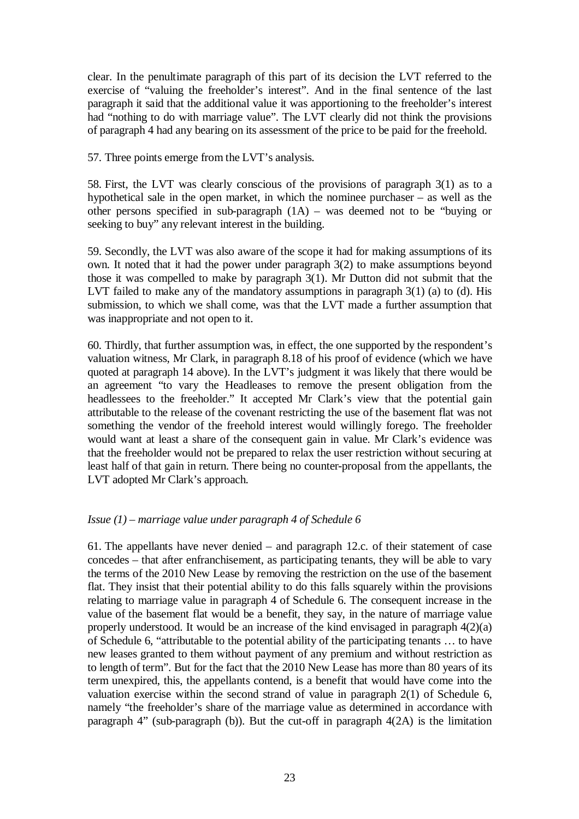clear. In the penultimate paragraph of this part of its decision the LVT referred to the exercise of "valuing the freeholder's interest". And in the final sentence of the last paragraph it said that the additional value it was apportioning to the freeholder's interest had "nothing to do with marriage value". The LVT clearly did not think the provisions of paragraph 4 had any bearing on its assessment of the price to be paid for the freehold.

57. Three points emerge from the LVT's analysis.

58. First, the LVT was clearly conscious of the provisions of paragraph 3(1) as to a hypothetical sale in the open market, in which the nominee purchaser – as well as the other persons specified in sub-paragraph (1A) – was deemed not to be "buying or seeking to buy" any relevant interest in the building.

59. Secondly, the LVT was also aware of the scope it had for making assumptions of its own. It noted that it had the power under paragraph 3(2) to make assumptions beyond those it was compelled to make by paragraph 3(1). Mr Dutton did not submit that the LVT failed to make any of the mandatory assumptions in paragraph 3(1) (a) to (d). His submission, to which we shall come, was that the LVT made a further assumption that was inappropriate and not open to it.

60. Thirdly, that further assumption was, in effect, the one supported by the respondent's valuation witness, Mr Clark, in paragraph 8.18 of his proof of evidence (which we have quoted at paragraph 14 above). In the LVT's judgment it was likely that there would be an agreement "to vary the Headleases to remove the present obligation from the headlessees to the freeholder." It accepted Mr Clark's view that the potential gain attributable to the release of the covenant restricting the use of the basement flat was not something the vendor of the freehold interest would willingly forego. The freeholder would want at least a share of the consequent gain in value. Mr Clark's evidence was that the freeholder would not be prepared to relax the user restriction without securing at least half of that gain in return. There being no counter-proposal from the appellants, the LVT adopted Mr Clark's approach.

# *Issue (1) – marriage value under paragraph 4 of Schedule 6*

61. The appellants have never denied – and paragraph 12.c. of their statement of case concedes – that after enfranchisement, as participating tenants, they will be able to vary the terms of the 2010 New Lease by removing the restriction on the use of the basement flat. They insist that their potential ability to do this falls squarely within the provisions relating to marriage value in paragraph 4 of Schedule 6. The consequent increase in the value of the basement flat would be a benefit, they say, in the nature of marriage value properly understood. It would be an increase of the kind envisaged in paragraph 4(2)(a) of Schedule 6, "attributable to the potential ability of the participating tenants … to have new leases granted to them without payment of any premium and without restriction as to length of term". But for the fact that the 2010 New Lease has more than 80 years of its term unexpired, this, the appellants contend, is a benefit that would have come into the valuation exercise within the second strand of value in paragraph 2(1) of Schedule 6, namely "the freeholder's share of the marriage value as determined in accordance with paragraph 4" (sub-paragraph (b)). But the cut-off in paragraph 4(2A) is the limitation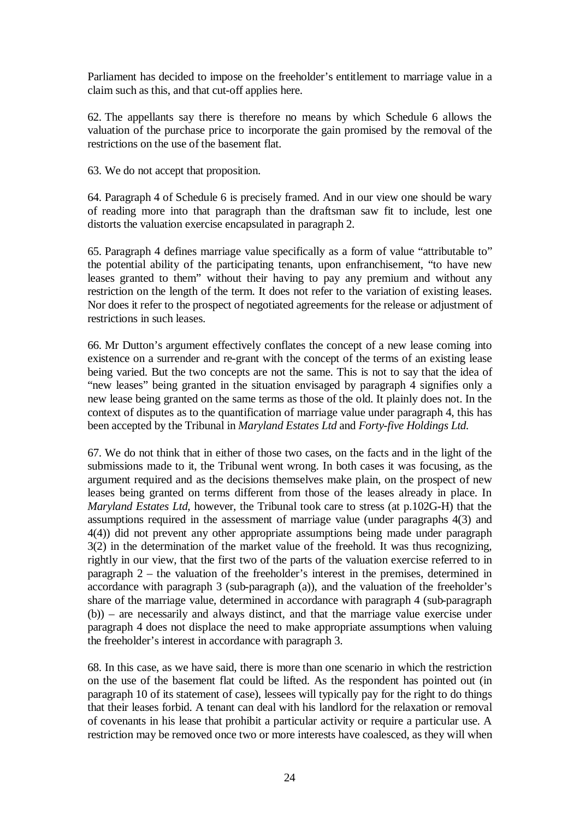Parliament has decided to impose on the freeholder's entitlement to marriage value in a claim such as this, and that cut-off applies here.

62. The appellants say there is therefore no means by which Schedule 6 allows the valuation of the purchase price to incorporate the gain promised by the removal of the restrictions on the use of the basement flat.

63. We do not accept that proposition.

64. Paragraph 4 of Schedule 6 is precisely framed. And in our view one should be wary of reading more into that paragraph than the draftsman saw fit to include, lest one distorts the valuation exercise encapsulated in paragraph 2.

65. Paragraph 4 defines marriage value specifically as a form of value "attributable to" the potential ability of the participating tenants, upon enfranchisement, "to have new leases granted to them" without their having to pay any premium and without any restriction on the length of the term. It does not refer to the variation of existing leases. Nor does it refer to the prospect of negotiated agreements for the release or adjustment of restrictions in such leases.

66. Mr Dutton's argument effectively conflates the concept of a new lease coming into existence on a surrender and re-grant with the concept of the terms of an existing lease being varied. But the two concepts are not the same. This is not to say that the idea of "new leases" being granted in the situation envisaged by paragraph 4 signifies only a new lease being granted on the same terms as those of the old. It plainly does not. In the context of disputes as to the quantification of marriage value under paragraph 4, this has been accepted by the Tribunal in *Maryland Estates Ltd* and *Forty-five Holdings Ltd*.

67. We do not think that in either of those two cases, on the facts and in the light of the submissions made to it, the Tribunal went wrong. In both cases it was focusing, as the argument required and as the decisions themselves make plain, on the prospect of new leases being granted on terms different from those of the leases already in place. In *Maryland Estates Ltd*, however, the Tribunal took care to stress (at p.102G-H) that the assumptions required in the assessment of marriage value (under paragraphs 4(3) and 4(4)) did not prevent any other appropriate assumptions being made under paragraph 3(2) in the determination of the market value of the freehold. It was thus recognizing, rightly in our view, that the first two of the parts of the valuation exercise referred to in paragraph 2 – the valuation of the freeholder's interest in the premises, determined in accordance with paragraph 3 (sub-paragraph (a)), and the valuation of the freeholder's share of the marriage value, determined in accordance with paragraph 4 (sub-paragraph (b)) – are necessarily and always distinct, and that the marriage value exercise under paragraph 4 does not displace the need to make appropriate assumptions when valuing the freeholder's interest in accordance with paragraph 3.

68. In this case, as we have said, there is more than one scenario in which the restriction on the use of the basement flat could be lifted. As the respondent has pointed out (in paragraph 10 of its statement of case), lessees will typically pay for the right to do things that their leases forbid. A tenant can deal with his landlord for the relaxation or removal of covenants in his lease that prohibit a particular activity or require a particular use. A restriction may be removed once two or more interests have coalesced, as they will when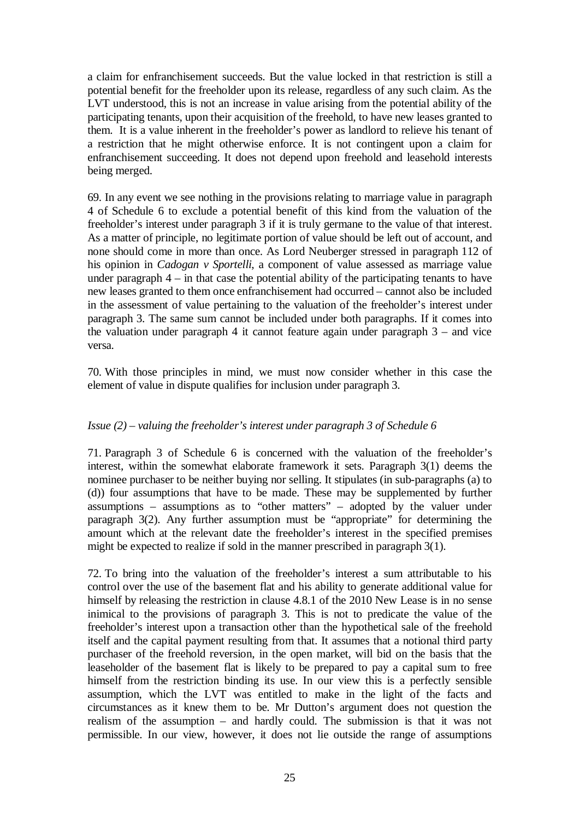a claim for enfranchisement succeeds. But the value locked in that restriction is still a potential benefit for the freeholder upon its release, regardless of any such claim. As the LVT understood, this is not an increase in value arising from the potential ability of the participating tenants, upon their acquisition of the freehold, to have new leases granted to them.It is a value inherent in the freeholder's power as landlord to relieve his tenant of a restriction that he might otherwise enforce. It is not contingent upon a claim for enfranchisement succeeding. It does not depend upon freehold and leasehold interests being merged.

69. In any event we see nothing in the provisions relating to marriage value in paragraph 4 of Schedule 6 to exclude a potential benefit of this kind from the valuation of the freeholder's interest under paragraph 3 if it is truly germane to the value of that interest. As a matter of principle, no legitimate portion of value should be left out of account, and none should come in more than once. As Lord Neuberger stressed in paragraph 112 of his opinion in *Cadogan v Sportelli*, a component of value assessed as marriage value under paragraph 4 – in that case the potential ability of the participating tenants to have new leases granted to them once enfranchisement had occurred – cannot also be included in the assessment of value pertaining to the valuation of the freeholder's interest under paragraph 3. The same sum cannot be included under both paragraphs. If it comes into the valuation under paragraph 4 it cannot feature again under paragraph  $3 -$  and vice versa.

70. With those principles in mind, we must now consider whether in this case the element of value in dispute qualifies for inclusion under paragraph 3.

# *Issue (2) – valuing the freeholder's interest under paragraph 3 of Schedule 6*

71. Paragraph 3 of Schedule 6 is concerned with the valuation of the freeholder's interest, within the somewhat elaborate framework it sets. Paragraph 3(1) deems the nominee purchaser to be neither buying nor selling. It stipulates (in sub-paragraphs (a) to (d)) four assumptions that have to be made. These may be supplemented by further assumptions – assumptions as to "other matters" – adopted by the valuer under paragraph 3(2). Any further assumption must be "appropriate" for determining the amount which at the relevant date the freeholder's interest in the specified premises might be expected to realize if sold in the manner prescribed in paragraph 3(1).

72. To bring into the valuation of the freeholder's interest a sum attributable to his control over the use of the basement flat and his ability to generate additional value for himself by releasing the restriction in clause 4.8.1 of the 2010 New Lease is in no sense inimical to the provisions of paragraph 3. This is not to predicate the value of the freeholder's interest upon a transaction other than the hypothetical sale of the freehold itself and the capital payment resulting from that. It assumes that a notional third party purchaser of the freehold reversion, in the open market, will bid on the basis that the leaseholder of the basement flat is likely to be prepared to pay a capital sum to free himself from the restriction binding its use. In our view this is a perfectly sensible assumption, which the LVT was entitled to make in the light of the facts and circumstances as it knew them to be. Mr Dutton's argument does not question the realism of the assumption – and hardly could. The submission is that it was not permissible. In our view, however, it does not lie outside the range of assumptions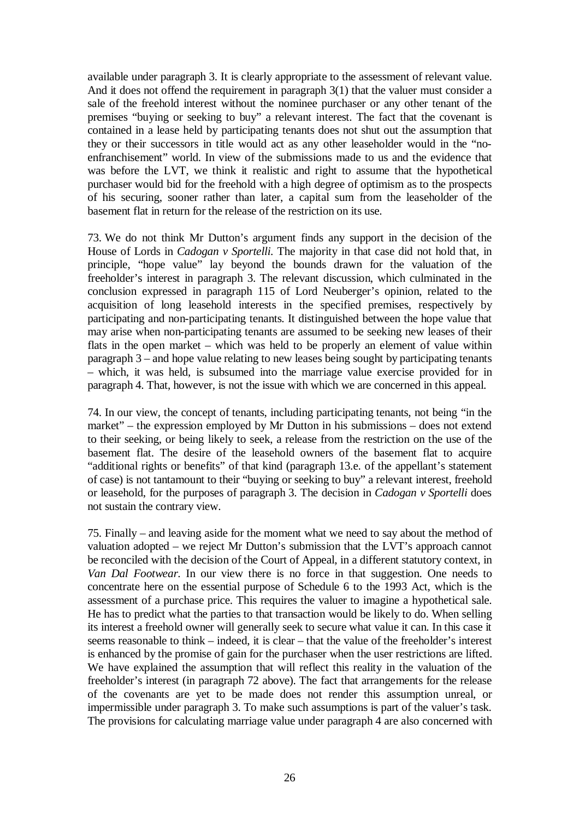available under paragraph 3. It is clearly appropriate to the assessment of relevant value. And it does not offend the requirement in paragraph 3(1) that the valuer must consider a sale of the freehold interest without the nominee purchaser or any other tenant of the premises "buying or seeking to buy" a relevant interest. The fact that the covenant is contained in a lease held by participating tenants does not shut out the assumption that they or their successors in title would act as any other leaseholder would in the "noenfranchisement" world. In view of the submissions made to us and the evidence that was before the LVT, we think it realistic and right to assume that the hypothetical purchaser would bid for the freehold with a high degree of optimism as to the prospects of his securing, sooner rather than later, a capital sum from the leaseholder of the basement flat in return for the release of the restriction on its use.

73. We do not think Mr Dutton's argument finds any support in the decision of the House of Lords in *Cadogan v Sportelli*. The majority in that case did not hold that, in principle, "hope value" lay beyond the bounds drawn for the valuation of the freeholder's interest in paragraph 3. The relevant discussion, which culminated in the conclusion expressed in paragraph 115 of Lord Neuberger's opinion, related to the acquisition of long leasehold interests in the specified premises, respectively by participating and non-participating tenants. It distinguished between the hope value that may arise when non-participating tenants are assumed to be seeking new leases of their flats in the open market – which was held to be properly an element of value within paragraph 3 – and hope value relating to new leases being sought by participating tenants – which, it was held, is subsumed into the marriage value exercise provided for in paragraph 4. That, however, is not the issue with which we are concerned in this appeal.

74. In our view, the concept of tenants, including participating tenants, not being "in the market" – the expression employed by Mr Dutton in his submissions – does not extend to their seeking, or being likely to seek, a release from the restriction on the use of the basement flat. The desire of the leasehold owners of the basement flat to acquire "additional rights or benefits" of that kind (paragraph 13.e. of the appellant's statement of case) is not tantamount to their "buying or seeking to buy" a relevant interest, freehold or leasehold, for the purposes of paragraph 3. The decision in *Cadogan v Sportelli* does not sustain the contrary view.

75. Finally – and leaving aside for the moment what we need to say about the method of valuation adopted – we reject Mr Dutton's submission that the LVT's approach cannot be reconciled with the decision of the Court of Appeal, in a different statutory context, in *Van Dal Footwear*. In our view there is no force in that suggestion. One needs to concentrate here on the essential purpose of Schedule 6 to the 1993 Act, which is the assessment of a purchase price. This requires the valuer to imagine a hypothetical sale. He has to predict what the parties to that transaction would be likely to do. When selling its interest a freehold owner will generally seek to secure what value it can. In this case it seems reasonable to think – indeed, it is clear – that the value of the freeholder's interest is enhanced by the promise of gain for the purchaser when the user restrictions are lifted. We have explained the assumption that will reflect this reality in the valuation of the freeholder's interest (in paragraph 72 above). The fact that arrangements for the release of the covenants are yet to be made does not render this assumption unreal, or impermissible under paragraph 3. To make such assumptions is part of the valuer's task. The provisions for calculating marriage value under paragraph 4 are also concerned with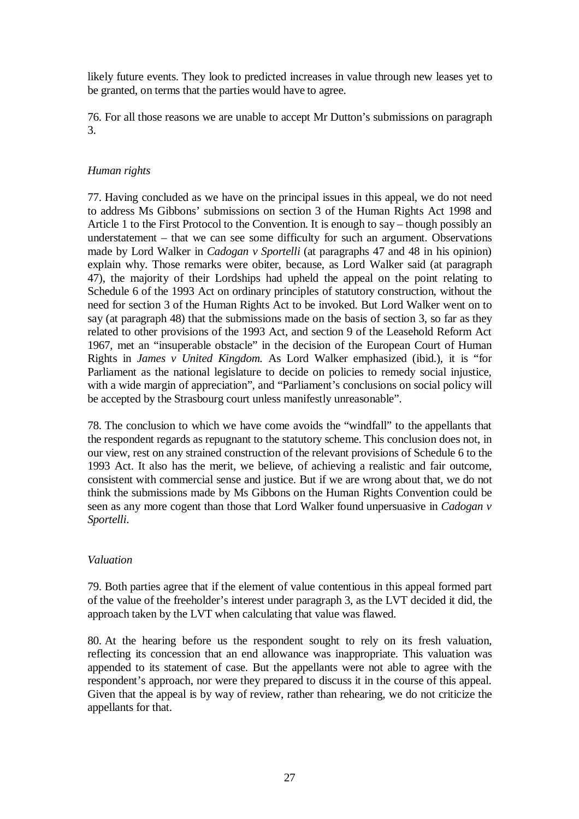likely future events. They look to predicted increases in value through new leases yet to be granted, on terms that the parties would have to agree.

76. For all those reasons we are unable to accept Mr Dutton's submissions on paragraph 3.

# *Human rights*

77. Having concluded as we have on the principal issues in this appeal, we do not need to address Ms Gibbons' submissions on section 3 of the Human Rights Act 1998 and Article 1 to the First Protocol to the Convention. It is enough to say – though possibly an understatement – that we can see some difficulty for such an argument. Observations made by Lord Walker in *Cadogan v Sportelli* (at paragraphs 47 and 48 in his opinion) explain why. Those remarks were obiter, because, as Lord Walker said (at paragraph 47), the majority of their Lordships had upheld the appeal on the point relating to Schedule 6 of the 1993 Act on ordinary principles of statutory construction, without the need for section 3 of the Human Rights Act to be invoked. But Lord Walker went on to say (at paragraph 48) that the submissions made on the basis of section 3, so far as they related to other provisions of the 1993 Act, and section 9 of the Leasehold Reform Act 1967, met an "insuperable obstacle" in the decision of the European Court of Human Rights in *James v United Kingdom*. As Lord Walker emphasized (ibid.), it is "for Parliament as the national legislature to decide on policies to remedy social injustice, with a wide margin of appreciation", and "Parliament's conclusions on social policy will be accepted by the Strasbourg court unless manifestly unreasonable".

78. The conclusion to which we have come avoids the "windfall" to the appellants that the respondent regards as repugnant to the statutory scheme. This conclusion does not, in our view, rest on any strained construction of the relevant provisions of Schedule 6 to the 1993 Act. It also has the merit, we believe, of achieving a realistic and fair outcome, consistent with commercial sense and justice. But if we are wrong about that, we do not think the submissions made by Ms Gibbons on the Human Rights Convention could be seen as any more cogent than those that Lord Walker found unpersuasive in *Cadogan v Sportelli*.

# *Valuation*

79. Both parties agree that if the element of value contentious in this appeal formed part of the value of the freeholder's interest under paragraph 3, as the LVT decided it did, the approach taken by the LVT when calculating that value was flawed.

80. At the hearing before us the respondent sought to rely on its fresh valuation, reflecting its concession that an end allowance was inappropriate. This valuation was appended to its statement of case. But the appellants were not able to agree with the respondent's approach, nor were they prepared to discuss it in the course of this appeal. Given that the appeal is by way of review, rather than rehearing, we do not criticize the appellants for that.